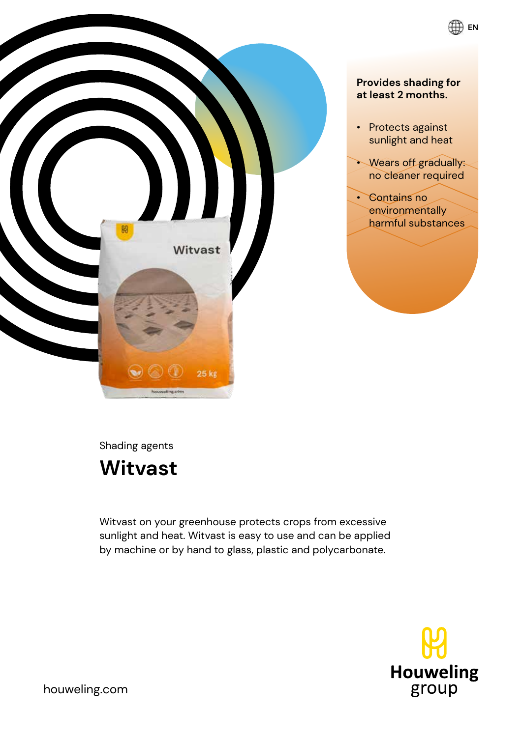

**Provides shading for at least 2 months.**

**EN**

- Protects against sunlight and heat
- Wears off gradually: no cleaner required
- Contains no environmentally harmful substances

Shading agents

# **Witvast**

Witvast on your greenhouse protects crops from excessive sunlight and heat. Witvast is easy to use and can be applied by machine or by hand to glass, plastic and polycarbonate.